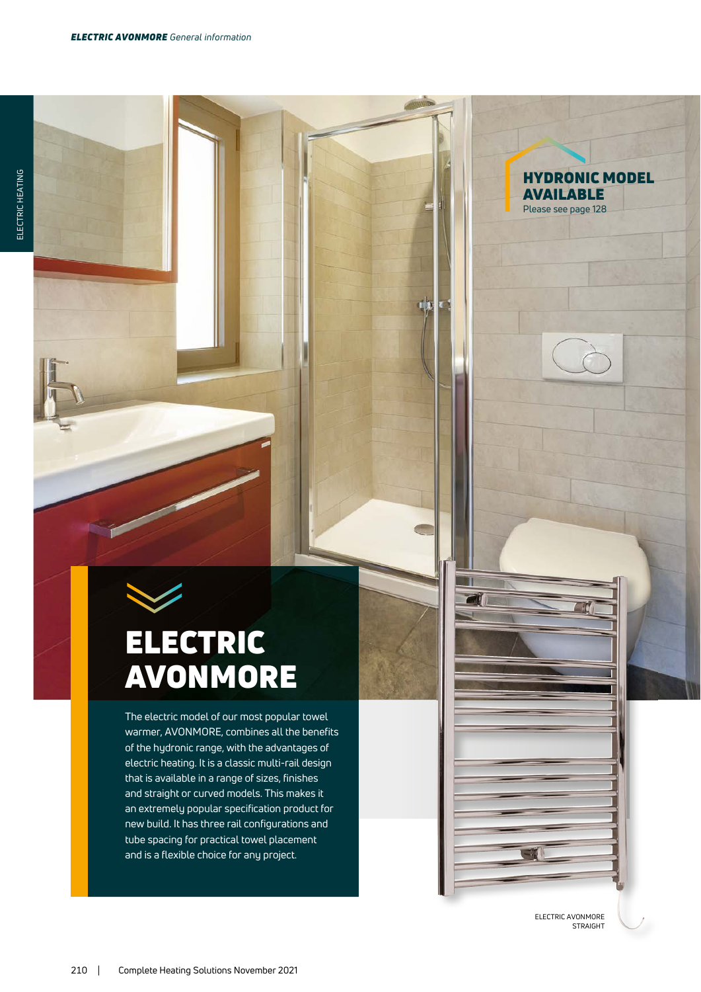# ELECTRIC AVONMORE

The electric model of our most popular towel warmer, AVONMORE, combines all the benefits of the hydronic range, with the advantages of electric heating. It is a classic multi-rail design that is available in a range of sizes, finishes and straight or curved models. This makes it an extremely popular specification product for new build. It has three rail configurations and tube spacing for practical towel placement and is a flexible choice for any project.

> ELECTRIC AVONMORE STRAIGHT

HYDRONIC MODEL

AVAILABLE Please see page 128